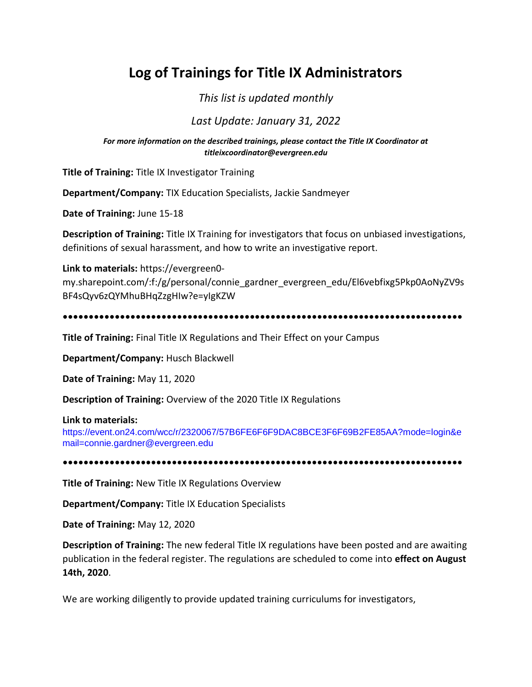# **Log of Trainings for Title IX Administrators**

# *This list is updated monthly*

# *Last Update: January 31, 2022*

*For more information on the described trainings, please contact the Title IX Coordinator at titleixcoordinator@evergreen.edu*

**Title of Training:** Title IX Investigator Training

**Department/Company:** TIX Education Specialists, Jackie Sandmeyer

**Date of Training:** June 15-18

**Description of Training:** Title IX Training for investigators that focus on unbiased investigations, definitions of sexual harassment, and how to write an investigative report.

**Link to materials:** https://evergreen0 my.sharepoint.com/:f:/g/personal/connie\_gardner\_evergreen\_edu/El6vebfixg5Pkp0AoNyZV9s BF4sQyv6zQYMhuBHqZzgHIw?e=yIgKZW

**•••••••••••••••••••••••••••••••••••••••••••••••••••••••••••••••••••••••••••••**

**Title of Training:** Final Title IX Regulations and Their Effect on your Campus

**Department/Company:** Husch Blackwell

**Date of Training:** May 11, 2020

**Description of Training:** Overview of the 2020 Title IX Regulations

#### **Link to materials:**

https://event.on24.com/wcc/r/2320067/57B6FE6F6F9DAC8BCE3F6F69B2FE85AA?mode=login&e mail=connie.gardner@evergreen.edu

**•••••••••••••••••••••••••••••••••••••••••••••••••••••••••••••••••••••••••••••**

**Title of Training:** New Title IX Regulations Overview

**Department/Company:** Title IX Education Specialists

**Date of Training:** May 12, 2020

**Description of Training:** The new federal Title IX regulations have been posted and are awaiting publication in the federal register. The regulations are scheduled to come into **effect on August 14th, 2020**.

We are working diligently to provide updated training curriculums for investigators,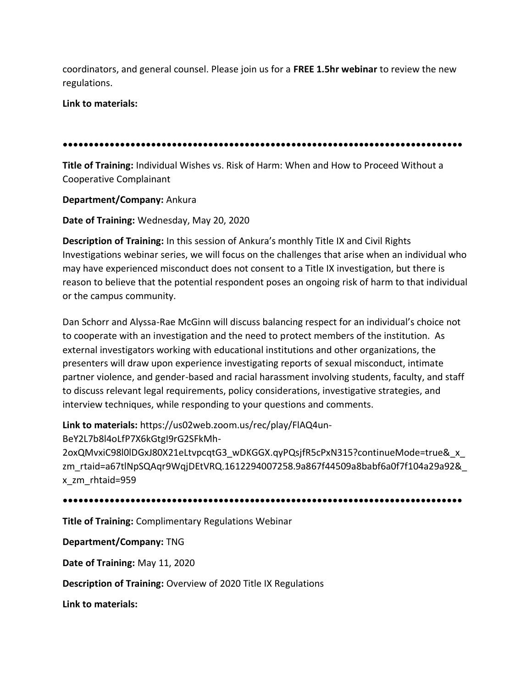coordinators, and general counsel. Please join us for a **FREE 1.5hr webinar** to review the new regulations.

**Link to materials:**

**•••••••••••••••••••••••••••••••••••••••••••••••••••••••••••••••••••••••••••••**

**Title of Training:** Individual Wishes vs. Risk of Harm: When and How to Proceed Without a Cooperative Complainant

**Department/Company:** Ankura

**Date of Training:** Wednesday, May 20, 2020

**Description of Training:** In this session of Ankura's monthly Title IX and Civil Rights Investigations webinar series, we will focus on the challenges that arise when an individual who may have experienced misconduct does not consent to a Title IX investigation, but there is reason to believe that the potential respondent poses an ongoing risk of harm to that individual or the campus community.

Dan Schorr and Alyssa-Rae McGinn will discuss balancing respect for an individual's choice not to cooperate with an investigation and the need to protect members of the institution. As external investigators working with educational institutions and other organizations, the presenters will draw upon experience investigating reports of sexual misconduct, intimate partner violence, and gender-based and racial harassment involving students, faculty, and staff to discuss relevant legal requirements, policy considerations, investigative strategies, and interview techniques, while responding to your questions and comments.

**Link to materials:** https://us02web.zoom.us/rec/play/FlAQ4un-

BeY2L7b8l4oLfP7X6kGtgI9rG2SFkMh-

2oxQMvxiC98l0lDGxJ80X21eLtvpcqtG3\_wDKGGX.qyPQsjfR5cPxN315?continueMode=true&\_x\_ zm\_rtaid=a67tlNpSQAqr9WqjDEtVRQ.1612294007258.9a867f44509a8babf6a0f7f104a29a92&\_ x\_zm\_rhtaid=959

**•••••••••••••••••••••••••••••••••••••••••••••••••••••••••••••••••••••••••••••**

**Title of Training:** Complimentary Regulations Webinar

**Department/Company:** TNG

**Date of Training:** May 11, 2020

**Description of Training:** Overview of 2020 Title IX Regulations

**Link to materials:**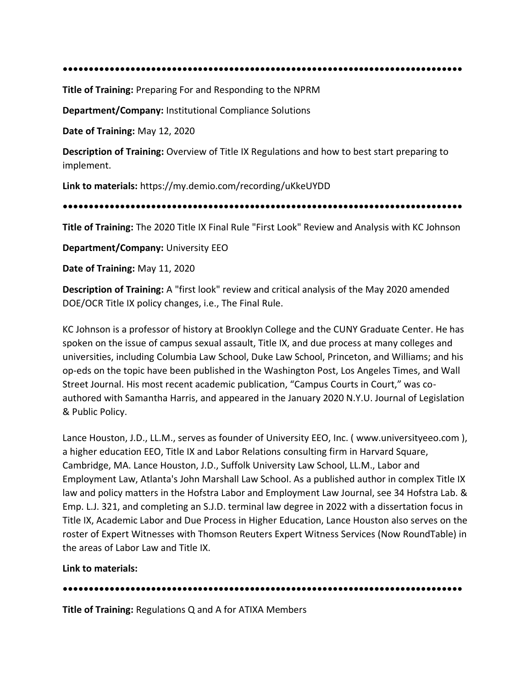```
•••••••••••••••••••••••••••••••••••••••••••••••••••••••••••••••••••••••••••••
```
**Title of Training:** Preparing For and Responding to the NPRM

**Department/Company:** Institutional Compliance Solutions

**Date of Training:** May 12, 2020

**Description of Training:** Overview of Title IX Regulations and how to best start preparing to implement.

**Link to materials:** https://my.demio.com/recording/uKkeUYDD

**•••••••••••••••••••••••••••••••••••••••••••••••••••••••••••••••••••••••••••••**

**Title of Training:** The 2020 Title IX Final Rule "First Look" Review and Analysis with KC Johnson

**Department/Company:** University EEO

**Date of Training:** May 11, 2020

**Description of Training:** A "first look" review and critical analysis of the May 2020 amended DOE/OCR Title IX policy changes, i.e., The Final Rule.

KC Johnson is a professor of history at Brooklyn College and the CUNY Graduate Center. He has spoken on the issue of campus sexual assault, Title IX, and due process at many colleges and universities, including Columbia Law School, Duke Law School, Princeton, and Williams; and his op-eds on the topic have been published in the Washington Post, Los Angeles Times, and Wall Street Journal. His most recent academic publication, "Campus Courts in Court," was coauthored with Samantha Harris, and appeared in the January 2020 N.Y.U. Journal of Legislation & Public Policy.

Lance Houston, J.D., LL.M., serves as founder of University EEO, Inc. ( www.universityeeo.com ), a higher education EEO, Title IX and Labor Relations consulting firm in Harvard Square, Cambridge, MA. Lance Houston, J.D., Suffolk University Law School, LL.M., Labor and Employment Law, Atlanta's John Marshall Law School. As a published author in complex Title IX law and policy matters in the Hofstra Labor and Employment Law Journal, see 34 Hofstra Lab. & Emp. L.J. 321, and completing an S.J.D. terminal law degree in 2022 with a dissertation focus in Title IX, Academic Labor and Due Process in Higher Education, Lance Houston also serves on the roster of Expert Witnesses with Thomson Reuters Expert Witness Services (Now RoundTable) in the areas of Labor Law and Title IX.

**Link to materials:**

**•••••••••••••••••••••••••••••••••••••••••••••••••••••••••••••••••••••••••••••**

**Title of Training:** Regulations Q and A for ATIXA Members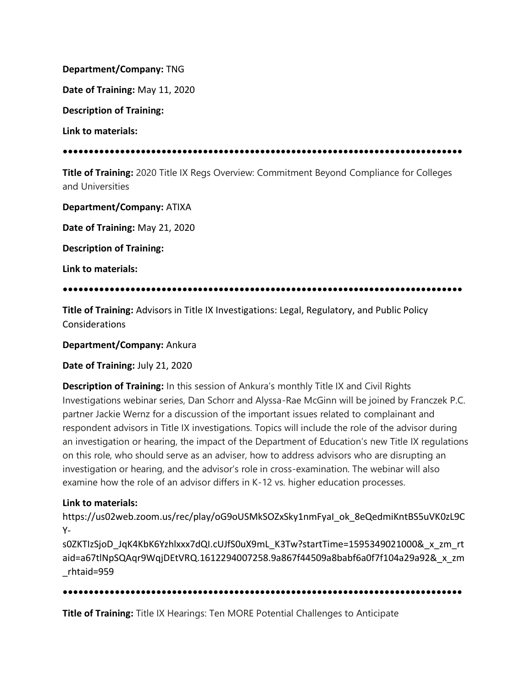**Department/Company:** TNG

**Date of Training:** May 11, 2020

**Description of Training:**

**Link to materials:**

## **•••••••••••••••••••••••••••••••••••••••••••••••••••••••••••••••••••••••••••••**

**Title of Training:** 2020 Title IX Regs Overview: Commitment Beyond Compliance for Colleges and Universities

**Department/Company:** ATIXA

**Date of Training:** May 21, 2020

**Description of Training:**

**Link to materials:**

# **•••••••••••••••••••••••••••••••••••••••••••••••••••••••••••••••••••••••••••••**

**Title of Training:** Advisors in Title IX Investigations: Legal, Regulatory, and Public Policy Considerations

**Department/Company:** Ankura

**Date of Training:** July 21, 2020

**Description of Training:** In this session of Ankura's monthly Title IX and Civil Rights Investigations webinar series, Dan Schorr and Alyssa-Rae McGinn will be joined by Franczek P.C. partner Jackie Wernz for a discussion of the important issues related to complainant and respondent advisors in Title IX investigations. Topics will include the role of the advisor during an investigation or hearing, the impact of the Department of Education's new Title IX regulations on this role, who should serve as an adviser, how to address advisors who are disrupting an investigation or hearing, and the advisor's role in cross-examination. The webinar will also examine how the role of an advisor differs in K-12 vs. higher education processes.

# **Link to materials:**

https://us02web.zoom.us/rec/play/oG9oUSMkSOZxSky1nmFyaI\_ok\_8eQedmiKntBS5uVK0zL9C Y-

s0ZKTIzSjoD\_JqK4KbK6Yzhlxxx7dQI.cUJfS0uX9mL\_K3Tw?startTime=1595349021000&\_x\_zm\_rt aid=a67tlNpSQAqr9WqjDEtVRQ.1612294007258.9a867f44509a8babf6a0f7f104a29a92&\_x\_zm \_rhtaid=959

## **•••••••••••••••••••••••••••••••••••••••••••••••••••••••••••••••••••••••••••••**

**Title of Training:** Title IX Hearings: Ten MORE Potential Challenges to Anticipate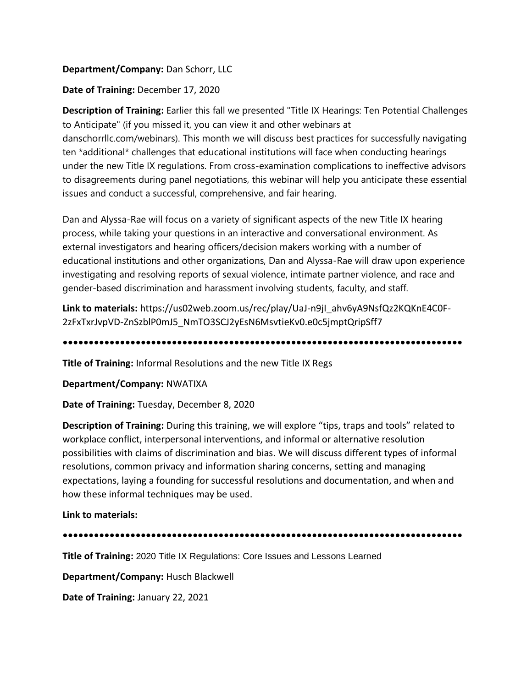# **Department/Company:** Dan Schorr, LLC

## **Date of Training:** December 17, 2020

**Description of Training:** Earlier this fall we presented "Title IX Hearings: Ten Potential Challenges to Anticipate" (if you missed it, you can view it and other webinars at

danschorrllc.com/webinars). This month we will discuss best practices for successfully navigating ten \*additional\* challenges that educational institutions will face when conducting hearings under the new Title IX regulations. From cross-examination complications to ineffective advisors to disagreements during panel negotiations, this webinar will help you anticipate these essential issues and conduct a successful, comprehensive, and fair hearing.

Dan and Alyssa-Rae will focus on a variety of significant aspects of the new Title IX hearing process, while taking your questions in an interactive and conversational environment. As external investigators and hearing officers/decision makers working with a number of educational institutions and other organizations, Dan and Alyssa-Rae will draw upon experience investigating and resolving reports of sexual violence, intimate partner violence, and race and gender-based discrimination and harassment involving students, faculty, and staff.

**Link to materials:** https://us02web.zoom.us/rec/play/UaJ-n9jI\_ahv6yA9NsfQz2KQKnE4C0F-2zFxTxrJvpVD-ZnSzblP0mJ5\_NmTO3SCJ2yEsN6MsvtieKv0.e0c5jmptQripSff7

**•••••••••••••••••••••••••••••••••••••••••••••••••••••••••••••••••••••••••••••**

**Title of Training:** Informal Resolutions and the new Title IX Regs

**Department/Company:** NWATIXA

**Date of Training:** Tuesday, December 8, 2020

**Description of Training:** During this training, we will explore "tips, traps and tools" related to workplace conflict, interpersonal interventions, and informal or alternative resolution possibilities with claims of discrimination and bias. We will discuss different types of informal resolutions, common privacy and information sharing concerns, setting and managing expectations, laying a founding for successful resolutions and documentation, and when and how these informal techniques may be used.

**Link to materials:**

**•••••••••••••••••••••••••••••••••••••••••••••••••••••••••••••••••••••••••••••**

**Title of Training:** 2020 Title IX Regulations: Core Issues and Lessons Learned

**Department/Company:** Husch Blackwell

**Date of Training:** January 22, 2021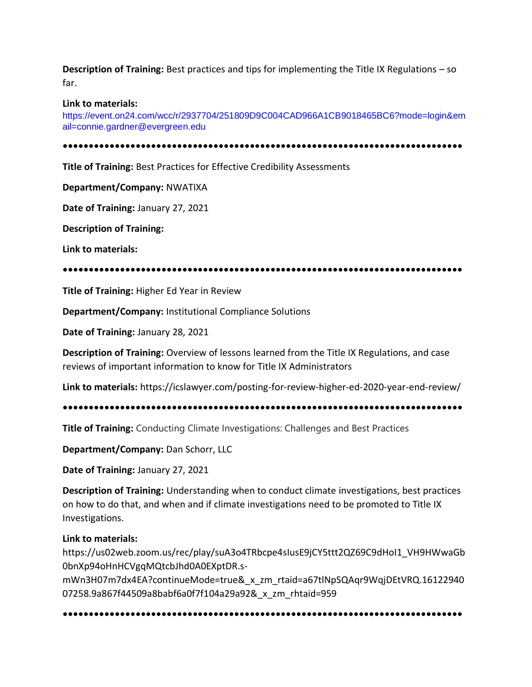**Description of Training:** Best practices and tips for implementing the Title IX Regulations – so far.

#### **Link to materials:**

https://event.on24.com/wcc/r/2937704/251809D9C004CAD966A1CB9018465BC6?mode=login&em ail=connie.gardner@evergreen.edu

**•••••••••••••••••••••••••••••••••••••••••••••••••••••••••••••••••••••••••••••**

**Title of Training:** Best Practices for Effective Credibility Assessments

**Department/Company:** NWATIXA

**Date of Training:** January 27, 2021

**Description of Training:**

**Link to materials:**

**•••••••••••••••••••••••••••••••••••••••••••••••••••••••••••••••••••••••••••••**

**Title of Training:** Higher Ed Year in Review

**Department/Company:** Institutional Compliance Solutions

**Date of Training:** January 28, 2021

**Description of Training:** Overview of lessons learned from the Title IX Regulations, and case reviews of important information to know for Title IX Administrators

**Link to materials:** https://icslawyer.com/posting-for-review-higher-ed-2020-year-end-review/

**•••••••••••••••••••••••••••••••••••••••••••••••••••••••••••••••••••••••••••••**

**Title of Training:** Conducting Climate Investigations: Challenges and Best Practices

**Department/Company:** Dan Schorr, LLC

**Date of Training:** January 27, 2021

**Description of Training:** Understanding when to conduct climate investigations, best practices on how to do that, and when and if climate investigations need to be promoted to Title IX Investigations.

## **Link to materials:**

https://us02web.zoom.us/rec/play/suA3o4TRbcpe4sIusE9jCY5ttt2QZ69C9dHoI1\_VH9HWwaGb 0bnXp94oHnHCVgqMQtcbJhd0A0EXptDR.s-

mWn3H07m7dx4EA?continueMode=true&\_x\_zm\_rtaid=a67tlNpSQAqr9WqjDEtVRQ.16122940 07258.9a867f44509a8babf6a0f7f104a29a92&\_x\_zm\_rhtaid=959

**•••••••••••••••••••••••••••••••••••••••••••••••••••••••••••••••••••••••••••••**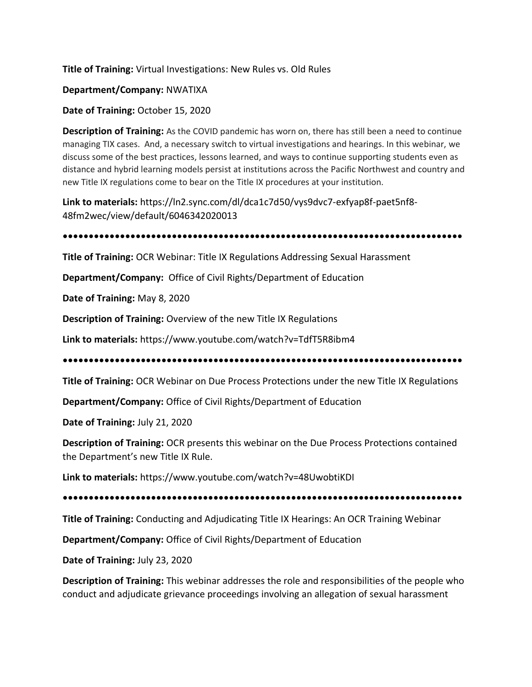## **Title of Training:** Virtual Investigations: New Rules vs. Old Rules

#### **Department/Company:** NWATIXA

**Date of Training:** October 15, 2020

**Description of Training:** As the COVID pandemic has worn on, there has still been a need to continue managing TIX cases. And, a necessary switch to virtual investigations and hearings. In this webinar, we discuss some of the best practices, lessons learned, and ways to continue supporting students even as distance and hybrid learning models persist at institutions across the Pacific Northwest and country and new Title IX regulations come to bear on the Title IX procedures at your institution.

**Link to materials:** https://ln2.sync.com/dl/dca1c7d50/vys9dvc7-exfyap8f-paet5nf8- 48fm2wec/view/default/6046342020013

# **•••••••••••••••••••••••••••••••••••••••••••••••••••••••••••••••••••••••••••••**

**Title of Training:** OCR Webinar: Title IX Regulations Addressing Sexual Harassment

**Department/Company:** Office of Civil Rights/Department of Education

**Date of Training:** May 8, 2020

**Description of Training:** Overview of the new Title IX Regulations

**Link to materials:** https://www.youtube.com/watch?v=TdfT5R8ibm4

**•••••••••••••••••••••••••••••••••••••••••••••••••••••••••••••••••••••••••••••**

**Title of Training:** OCR Webinar on Due Process Protections under the new Title IX Regulations

**Department/Company:** Office of Civil Rights/Department of Education

**Date of Training:** July 21, 2020

**Description of Training:** OCR presents this webinar on the Due Process Protections contained the Department's new Title IX Rule.

**Link to materials:** https://www.youtube.com/watch?v=48UwobtiKDI

**•••••••••••••••••••••••••••••••••••••••••••••••••••••••••••••••••••••••••••••**

**Title of Training:** Conducting and Adjudicating Title IX Hearings: An OCR Training Webinar

**Department/Company:** Office of Civil Rights/Department of Education

**Date of Training:** July 23, 2020

**Description of Training:** This webinar addresses the role and responsibilities of the people who conduct and adjudicate grievance proceedings involving an allegation of sexual harassment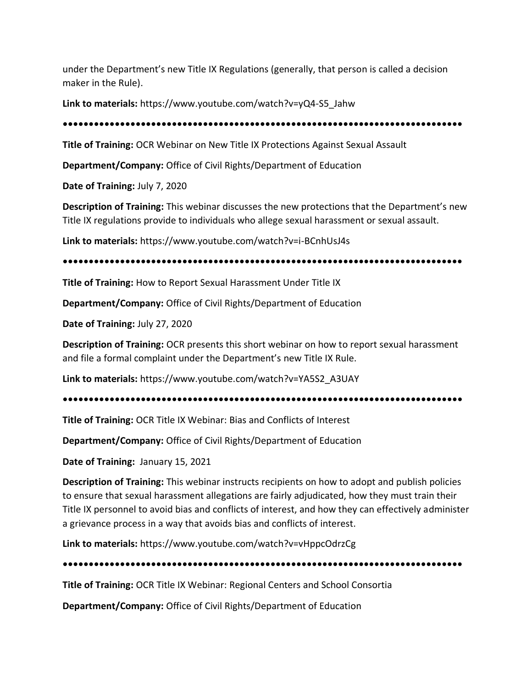under the Department's new Title IX Regulations (generally, that person is called a decision maker in the Rule).

**Link to materials:** https://www.youtube.com/watch?v=yQ4-S5\_Jahw

**•••••••••••••••••••••••••••••••••••••••••••••••••••••••••••••••••••••••••••••**

**Title of Training:** OCR Webinar on New Title IX Protections Against Sexual Assault

**Department/Company:** Office of Civil Rights/Department of Education

**Date of Training:** July 7, 2020

**Description of Training:** This webinar discusses the new protections that the Department's new Title IX regulations provide to individuals who allege sexual harassment or sexual assault.

**Link to materials:** https://www.youtube.com/watch?v=i-BCnhUsJ4s

**•••••••••••••••••••••••••••••••••••••••••••••••••••••••••••••••••••••••••••••**

**Title of Training:** How to Report Sexual Harassment Under Title IX

**Department/Company:** Office of Civil Rights/Department of Education

**Date of Training:** July 27, 2020

**Description of Training:** OCR presents this short webinar on how to report sexual harassment and file a formal complaint under the Department's new Title IX Rule.

**Link to materials:** https://www.youtube.com/watch?v=YA5S2\_A3UAY

**•••••••••••••••••••••••••••••••••••••••••••••••••••••••••••••••••••••••••••••**

**Title of Training:** OCR Title IX Webinar: Bias and Conflicts of Interest

**Department/Company:** Office of Civil Rights/Department of Education

**Date of Training:** January 15, 2021

**Description of Training:** This webinar instructs recipients on how to adopt and publish policies to ensure that sexual harassment allegations are fairly adjudicated, how they must train their Title IX personnel to avoid bias and conflicts of interest, and how they can effectively administer a grievance process in a way that avoids bias and conflicts of interest.

**Link to materials:** https://www.youtube.com/watch?v=vHppcOdrzCg

**•••••••••••••••••••••••••••••••••••••••••••••••••••••••••••••••••••••••••••••**

**Title of Training:** OCR Title IX Webinar: Regional Centers and School Consortia

**Department/Company:** Office of Civil Rights/Department of Education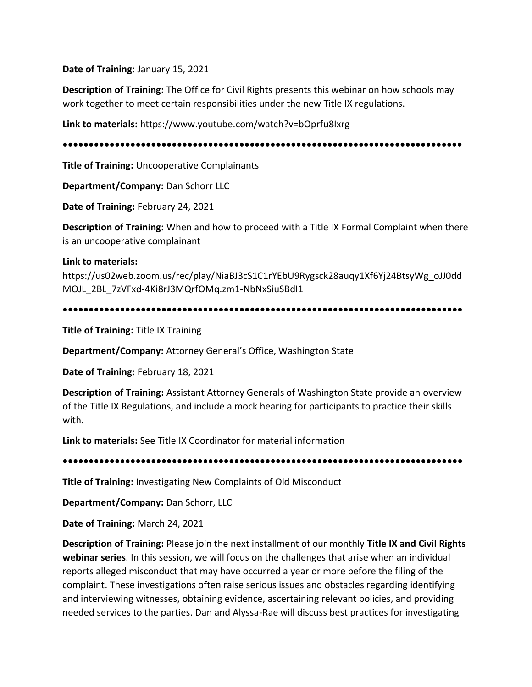**Date of Training:** January 15, 2021

**Description of Training:** The Office for Civil Rights presents this webinar on how schools may work together to meet certain responsibilities under the new Title IX regulations.

**Link to materials:** https://www.youtube.com/watch?v=bOprfu8Ixrg

**•••••••••••••••••••••••••••••••••••••••••••••••••••••••••••••••••••••••••••••**

**Title of Training:** Uncooperative Complainants

**Department/Company:** Dan Schorr LLC

**Date of Training:** February 24, 2021

**Description of Training:** When and how to proceed with a Title IX Formal Complaint when there is an uncooperative complainant

## **Link to materials:**

https://us02web.zoom.us/rec/play/NiaBJ3cS1C1rYEbU9Rygsck28auqy1Xf6Yj24BtsyWg\_oJJ0dd MOJL\_2BL\_7zVFxd-4Ki8rJ3MQrfOMq.zm1-NbNxSiuSBdI1

**•••••••••••••••••••••••••••••••••••••••••••••••••••••••••••••••••••••••••••••**

**Title of Training:** Title IX Training

**Department/Company:** Attorney General's Office, Washington State

**Date of Training:** February 18, 2021

**Description of Training:** Assistant Attorney Generals of Washington State provide an overview of the Title IX Regulations, and include a mock hearing for participants to practice their skills with.

**Link to materials:** See Title IX Coordinator for material information

**•••••••••••••••••••••••••••••••••••••••••••••••••••••••••••••••••••••••••••••**

**Title of Training:** Investigating New Complaints of Old Misconduct

**Department/Company:** Dan Schorr, LLC

**Date of Training:** March 24, 2021

**Description of Training:** Please join the next installment of our monthly **Title IX and Civil Rights webinar series**. In this session, we will focus on the challenges that arise when an individual reports alleged misconduct that may have occurred a year or more before the filing of the complaint. These investigations often raise serious issues and obstacles regarding identifying and interviewing witnesses, obtaining evidence, ascertaining relevant policies, and providing needed services to the parties. Dan and Alyssa-Rae will discuss best practices for investigating